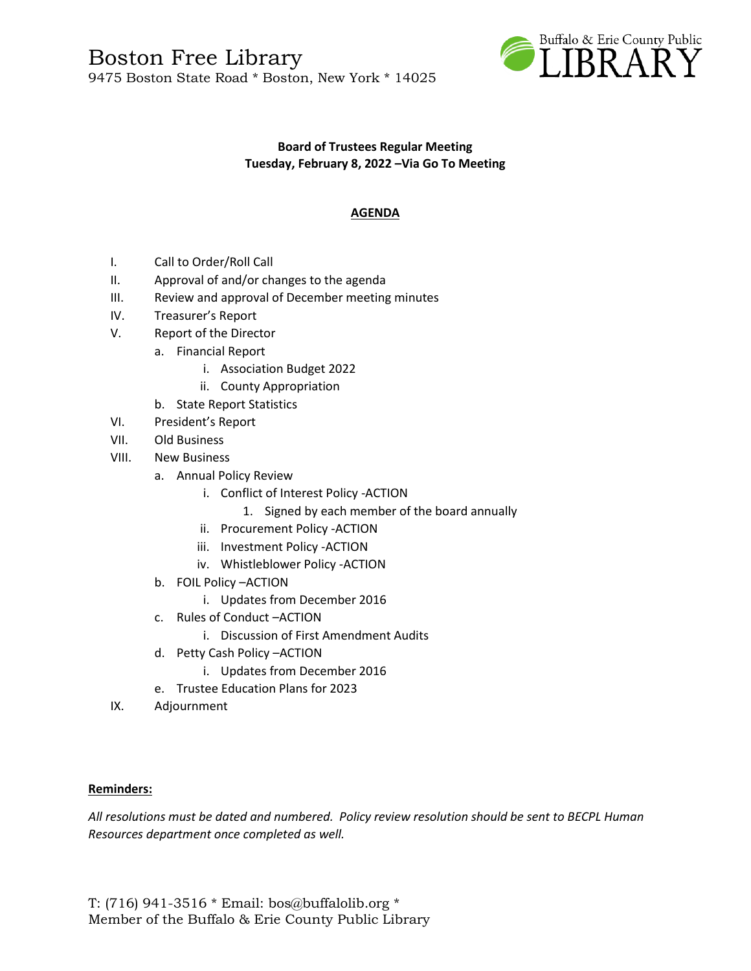

## **Board of Trustees Regular Meeting Tuesday, February 8, 2022 –Via Go To Meeting**

# **AGENDA**

- I. Call to Order/Roll Call
- II. Approval of and/or changes to the agenda
- III. Review and approval of December meeting minutes
- IV. Treasurer's Report
- V. Report of the Director
	- a. Financial Report
		- i. Association Budget 2022
		- ii. County Appropriation
	- b. State Report Statistics
- VI. President's Report
- VII. Old Business
- VIII. New Business
	- a. Annual Policy Review
		- i. Conflict of Interest Policy -ACTION
			- 1. Signed by each member of the board annually
		- ii. Procurement Policy -ACTION
		- iii. Investment Policy -ACTION
		- iv. Whistleblower Policy -ACTION
	- b. FOIL Policy –ACTION
		- i. Updates from December 2016
	- c. Rules of Conduct –ACTION
		- i. Discussion of First Amendment Audits
	- d. Petty Cash Policy –ACTION
		- i. Updates from December 2016
	- e. Trustee Education Plans for 2023
- IX. Adjournment

#### **Reminders:**

*All resolutions must be dated and numbered. Policy review resolution should be sent to BECPL Human Resources department once completed as well.*